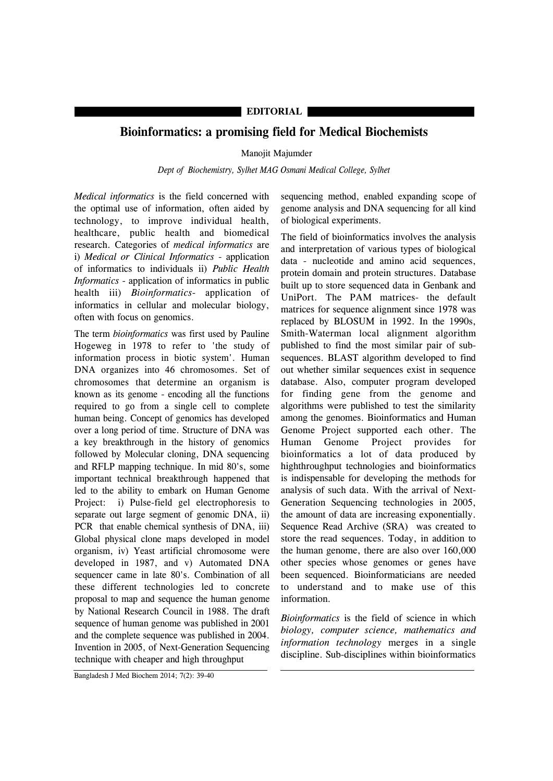## **EDITORIAL**

## **Bioinformatics: a promising field for Medical Biochemists**

## Manojit Majumder

*Dept of Biochemistry, Sylhet MAG Osmani Medical College, Sylhet*

*Medical informatics* is the field concerned with the optimal use of information, often aided by technology, to improve individual health, healthcare, public health and biomedical research. Categories of *medical informatics* are i) *Medical or Clinical Informatics* - application of informatics to individuals ii) *Public Health Informatics* - application of informatics in public health iii) *Bioinformatics*- application of informatics in cellular and molecular biology, often with focus on genomics.

The term *bioinformatics* was first used by Pauline Hogeweg in 1978 to refer to 'the study of information process in biotic system'. Human DNA organizes into 46 chromosomes. Set of chromosomes that determine an organism is known as its genome - encoding all the functions required to go from a single cell to complete human being. Concept of genomics has developed over a long period of time. Structure of DNA was a key breakthrough in the history of genomics followed by Molecular cloning, DNA sequencing and RFLP mapping technique. In mid 80's, some important technical breakthrough happened that led to the ability to embark on Human Genome Project: i) Pulse-field gel electrophoresis to separate out large segment of genomic DNA, ii) PCR that enable chemical synthesis of DNA, iii) Global physical clone maps developed in model organism, iv) Yeast artificial chromosome were developed in 1987, and v) Automated DNA sequencer came in late 80's. Combination of all these different technologies led to concrete proposal to map and sequence the human genome by National Research Council in 1988. The draft sequence of human genome was published in 2001 and the complete sequence was published in 2004. Invention in 2005, of Next-Generation Sequencing technique with cheaper and high throughput

sequencing method, enabled expanding scope of genome analysis and DNA sequencing for all kind of biological experiments.

The field of bioinformatics involves the analysis and interpretation of various types of biological data - nucleotide and amino acid sequences, protein domain and protein structures. Database built up to store sequenced data in Genbank and UniPort. The PAM matrices- the default matrices for sequence alignment since 1978 was replaced by BLOSUM in 1992. In the 1990s, Smith-Waterman local alignment algorithm published to find the most similar pair of subsequences. BLAST algorithm developed to find out whether similar sequences exist in sequence database. Also, computer program developed for finding gene from the genome and algorithms were published to test the similarity among the genomes. Bioinformatics and Human Genome Project supported each other. The Human Genome Project provides for bioinformatics a lot of data produced by highthroughput technologies and bioinformatics is indispensable for developing the methods for analysis of such data. With the arrival of Next-Generation Sequencing technologies in 2005, the amount of data are increasing exponentially. Sequence Read Archive (SRA) was created to store the read sequences. Today, in addition to the human genome, there are also over 160,000 other species whose genomes or genes have been sequenced. Bioinformaticians are needed to understand and to make use of this information.

*Bioinformatics* is the field of science in which *biology, computer science, mathematics and information technology* merges in a single discipline. Sub-disciplines within bioinformatics

Bangladesh J Med Biochem 2014; 7(2): 39-40